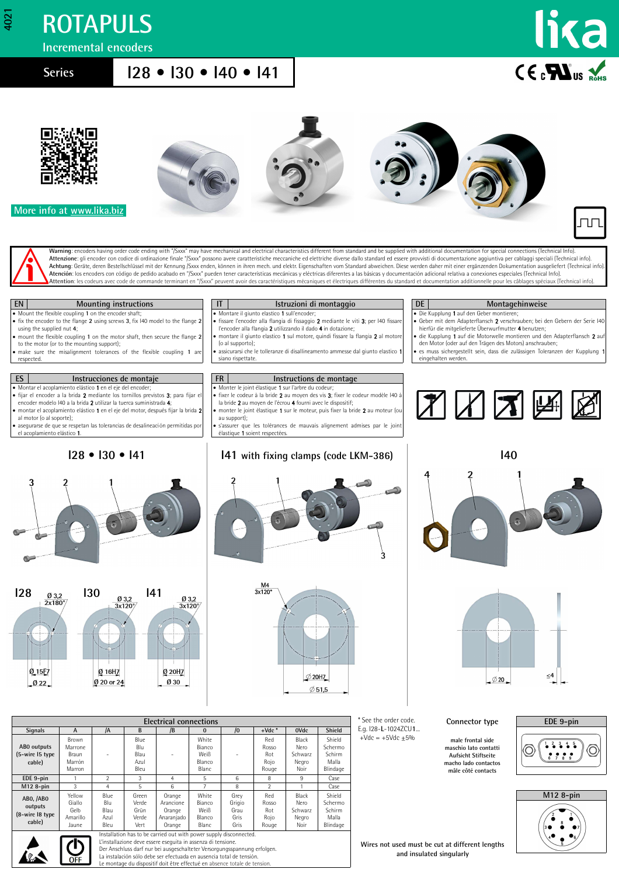## **ROTAPULS**

**Incremental encoders**

**4021**

### **Series I28 • I30 • I40 • I41**





 **More info at [www.lika.biz](http://www.lika.it/eng/prodotti.php?id_cat=267&id_fam=271)**









Warning: encoders having order code ending with "/Sxxx" may have mechanical and electrical characteristics different from standard and be supplied with additional documentation for special connections (Technical Info) **Attenzione**: gli encoder con codice di ordinazione finale "/Sxxx" possono avere caratteristiche meccaniche ed elettriche diverse dallo standard ed essere provvisti di documentazione aggiuntiva per cablaggi speciali (Techn **Atención**: los encoders con código de pedido acabado en "/Sxxx" pueden tener características mecánicas y eléctricas diferentes a las básicas y documentación adicional relativa a conexiones especiales (Technical Info). Attention: les codeurs avec code de commande terminant en "/Sxxx" peuvent avoir des caractéristiques mécaniques et électriques différentes du standard et documentation additionnelle pour les câblages spéciaux (Technical in



| <b>Electrical connections</b>                     |                                               |                                     |                                         |                                                                                                                                                                                                                                |                                            |                                        |                                      |                                           |                                                  |  |
|---------------------------------------------------|-----------------------------------------------|-------------------------------------|-----------------------------------------|--------------------------------------------------------------------------------------------------------------------------------------------------------------------------------------------------------------------------------|--------------------------------------------|----------------------------------------|--------------------------------------|-------------------------------------------|--------------------------------------------------|--|
| <b>Signals</b>                                    | A                                             | /A                                  | B                                       | /B                                                                                                                                                                                                                             | $\Omega$                                   | $\sqrt{0}$                             | $+$ Vdc $*$                          | 0Vdc                                      | Shield                                           |  |
| ABO outputs<br>(5-wire 15 type<br>cable)          | Brown<br>Marrone<br>Braun<br>Marrón<br>Marron | ٠                                   | Blue<br>Blu<br>Blau<br>Azul<br>Bleu     | $\overline{a}$                                                                                                                                                                                                                 | White<br>Bianco<br>Weiß<br>Blanco<br>Blanc | $\sim$                                 | Red<br>Rosso<br>Rot<br>Rojo<br>Rouge | Black<br>Nero<br>Schwarz<br>Negro<br>Noir | Shield<br>Schermo<br>Schirm<br>Malla<br>Blindage |  |
| EDE 9-pin                                         |                                               | $\mathcal{P}$                       | 3                                       | 4                                                                                                                                                                                                                              | 5                                          | 6                                      | 8                                    | 9                                         | Case                                             |  |
| M12 8-pin                                         | 3                                             | 4                                   | 5                                       | 6                                                                                                                                                                                                                              |                                            | 8                                      | $\mathfrak{p}$                       |                                           | Case                                             |  |
| ABO, /ABO<br>outputs<br>(8-wire 18 type<br>cable) | Yellow<br>Giallo<br>Gelb<br>Amarillo<br>Jaune | Blue<br>Blu<br>Blau<br>Azul<br>Bleu | Green<br>Verde<br>Grün<br>Verde<br>Vert | Orange<br>Arancione<br>Orange<br>Anaranjado<br>Orange                                                                                                                                                                          | White<br>Bianco<br>Weiß<br>Blanco<br>Blanc | Grev<br>Grigio<br>Grau<br>Gris<br>Gris | Red<br>Rosso<br>Rot<br>Rojo<br>Rouge | Black<br>Nero<br>Schwarz<br>Negro<br>Noir | Shield<br>Schermo<br>Schirm<br>Malla<br>Blindage |  |
|                                                   |                                               |                                     |                                         | The case the affected the constant of the controller of the control of the constant control of the control of the control of the control of the control of the control of the control of the control of the control of the con |                                            |                                        |                                      |                                           |                                                  |  |



Installation has to be carried out with power supply disconnected. L'installazione deve essere eseguita in assenza di tensione. Der Anschluss darf nur bei ausgeschalteter Versorgungsspannung erfolgen. La instalación sólo debe ser efectuada en ausencia total de tensión. montage du dispositif doit être effectué en absence total

E.g. I28-**L**-1024ZCU**1**...  $+Vdc = +5Vdc \pm 5%$ 

#### **Connector type**

**male frontal side maschio lato contatti Aufsicht Stiftseite macho lado contactos mâle côté contacts**





**Wires not used must be cut at different lengths and insulated singularly**